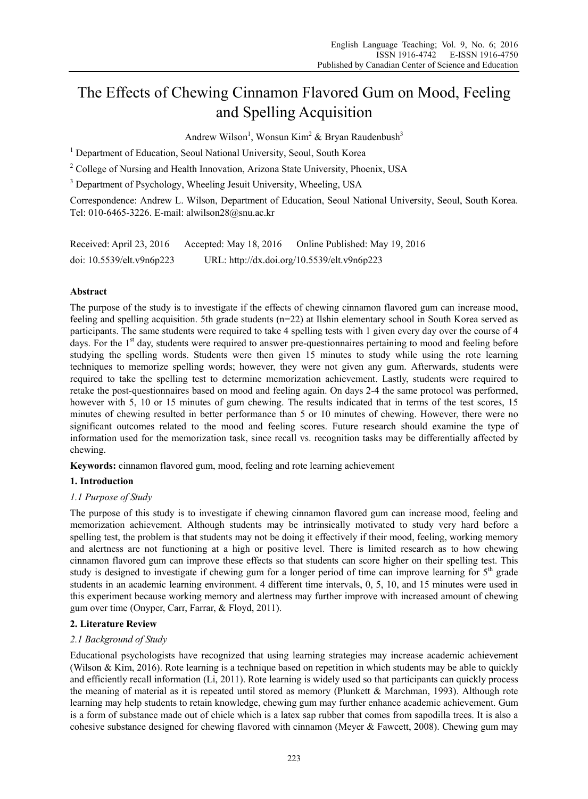# The Effects of Chewing Cinnamon Flavored Gum on Mood, Feeling and Spelling Acquisition

Andrew Wilson<sup>1</sup>, Wonsun Kim<sup>2</sup> & Bryan Raudenbush<sup>3</sup>

<sup>1</sup> Department of Education, Seoul National University, Seoul, South Korea

<sup>2</sup> College of Nursing and Health Innovation, Arizona State University, Phoenix, USA

<sup>3</sup> Department of Psychology, Wheeling Jesuit University, Wheeling, USA

Correspondence: Andrew L. Wilson, Department of Education, Seoul National University, Seoul, South Korea. Tel: 010-6465-3226. E-mail: alwilson28@snu.ac.kr

| Received: April 23, 2016     | Accepted: May 18, 2016 | Online Published: May 19, 2016              |
|------------------------------|------------------------|---------------------------------------------|
| doi: $10.5539$ /elt.v9n6p223 |                        | URL: http://dx.doi.org/10.5539/elt.v9n6p223 |

# **Abstract**

The purpose of the study is to investigate if the effects of chewing cinnamon flavored gum can increase mood, feeling and spelling acquisition. 5th grade students (n=22) at Ilshin elementary school in South Korea served as participants. The same students were required to take 4 spelling tests with 1 given every day over the course of 4 days. For the 1<sup>st</sup> day, students were required to answer pre-questionnaires pertaining to mood and feeling before studying the spelling words. Students were then given 15 minutes to study while using the rote learning techniques to memorize spelling words; however, they were not given any gum. Afterwards, students were required to take the spelling test to determine memorization achievement. Lastly, students were required to retake the post-questionnaires based on mood and feeling again. On days 2-4 the same protocol was performed, however with 5, 10 or 15 minutes of gum chewing. The results indicated that in terms of the test scores. 15 minutes of chewing resulted in better performance than 5 or 10 minutes of chewing. However, there were no significant outcomes related to the mood and feeling scores. Future research should examine the type of information used for the memorization task, since recall vs. recognition tasks may be differentially affected by chewing.

**Keywords:** cinnamon flavored gum, mood, feeling and rote learning achievement

# **1. Introduction**

# *1.1 Purpose of Study*

The purpose of this study is to investigate if chewing cinnamon flavored gum can increase mood, feeling and memorization achievement. Although students may be intrinsically motivated to study very hard before a spelling test, the problem is that students may not be doing it effectively if their mood, feeling, working memory and alertness are not functioning at a high or positive level. There is limited research as to how chewing cinnamon flavored gum can improve these effects so that students can score higher on their spelling test. This study is designed to investigate if chewing gum for a longer period of time can improve learning for  $5<sup>th</sup>$  grade students in an academic learning environment. 4 different time intervals, 0, 5, 10, and 15 minutes were used in this experiment because working memory and alertness may further improve with increased amount of chewing gum over time (Onyper, Carr, Farrar, & Floyd, 2011).

# **2. Literature Review**

# *2.1 Background of Study*

Educational psychologists have recognized that using learning strategies may increase academic achievement (Wilson & Kim, 2016). Rote learning is a technique based on repetition in which students may be able to quickly and efficiently recall information (Li, 2011). Rote learning is widely used so that participants can quickly process the meaning of material as it is repeated until stored as memory (Plunkett & Marchman, 1993). Although rote learning may help students to retain knowledge, chewing gum may further enhance academic achievement. Gum is a form of substance made out of chicle which is a latex sap rubber that comes from sapodilla trees. It is also a cohesive substance designed for chewing flavored with cinnamon (Meyer & Fawcett, 2008). Chewing gum may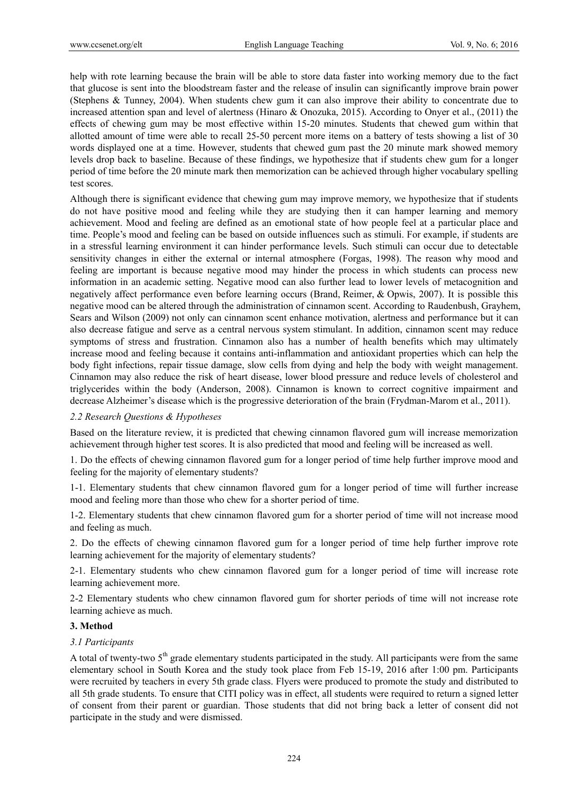help with rote learning because the brain will be able to store data faster into working memory due to the fact that glucose is sent into the bloodstream faster and the release of insulin can significantly improve brain power (Stephens & Tunney, 2004). When students chew gum it can also improve their ability to concentrate due to increased attention span and level of alertness (Hinaro & Onozuka, 2015). According to Onyer et al., (2011) the effects of chewing gum may be most effective within 15-20 minutes. Students that chewed gum within that allotted amount of time were able to recall 25-50 percent more items on a battery of tests showing a list of 30 words displayed one at a time. However, students that chewed gum past the 20 minute mark showed memory levels drop back to baseline. Because of these findings, we hypothesize that if students chew gum for a longer period of time before the 20 minute mark then memorization can be achieved through higher vocabulary spelling test scores.

Although there is significant evidence that chewing gum may improve memory, we hypothesize that if students do not have positive mood and feeling while they are studying then it can hamper learning and memory achievement. Mood and feeling are defined as an emotional state of how people feel at a particular place and time. People's mood and feeling can be based on outside influences such as stimuli. For example, if students are in a stressful learning environment it can hinder performance levels. Such stimuli can occur due to detectable sensitivity changes in either the external or internal atmosphere (Forgas, 1998). The reason why mood and feeling are important is because negative mood may hinder the process in which students can process new information in an academic setting. Negative mood can also further lead to lower levels of metacognition and negatively affect performance even before learning occurs (Brand, Reimer, & Opwis, 2007). It is possible this negative mood can be altered through the administration of cinnamon scent. According to Raudenbush, Grayhem, Sears and Wilson (2009) not only can cinnamon scent enhance motivation, alertness and performance but it can also decrease fatigue and serve as a central nervous system stimulant. In addition, cinnamon scent may reduce symptoms of stress and frustration. Cinnamon also has a number of health benefits which may ultimately increase mood and feeling because it contains anti-inflammation and antioxidant properties which can help the body fight infections, repair tissue damage, slow cells from dying and help the body with weight management. Cinnamon may also reduce the risk of heart disease, lower blood pressure and reduce levels of cholesterol and triglycerides within the body (Anderson, 2008). Cinnamon is known to correct cognitive impairment and decrease Alzheimer's disease which is the progressive deterioration of the brain (Frydman-Marom et al., 2011).

#### *2.2 Research Questions & Hypotheses*

Based on the literature review, it is predicted that chewing cinnamon flavored gum will increase memorization achievement through higher test scores. It is also predicted that mood and feeling will be increased as well.

1. Do the effects of chewing cinnamon flavored gum for a longer period of time help further improve mood and feeling for the majority of elementary students?

1-1. Elementary students that chew cinnamon flavored gum for a longer period of time will further increase mood and feeling more than those who chew for a shorter period of time.

1-2. Elementary students that chew cinnamon flavored gum for a shorter period of time will not increase mood and feeling as much.

2. Do the effects of chewing cinnamon flavored gum for a longer period of time help further improve rote learning achievement for the majority of elementary students?

2-1. Elementary students who chew cinnamon flavored gum for a longer period of time will increase rote learning achievement more.

2-2 Elementary students who chew cinnamon flavored gum for shorter periods of time will not increase rote learning achieve as much.

#### **3. Method**

#### *3.1 Participants*

A total of twenty-two 5<sup>th</sup> grade elementary students participated in the study. All participants were from the same elementary school in South Korea and the study took place from Feb 15-19, 2016 after 1:00 pm. Participants were recruited by teachers in every 5th grade class. Flyers were produced to promote the study and distributed to all 5th grade students. To ensure that CITI policy was in effect, all students were required to return a signed letter of consent from their parent or guardian. Those students that did not bring back a letter of consent did not participate in the study and were dismissed.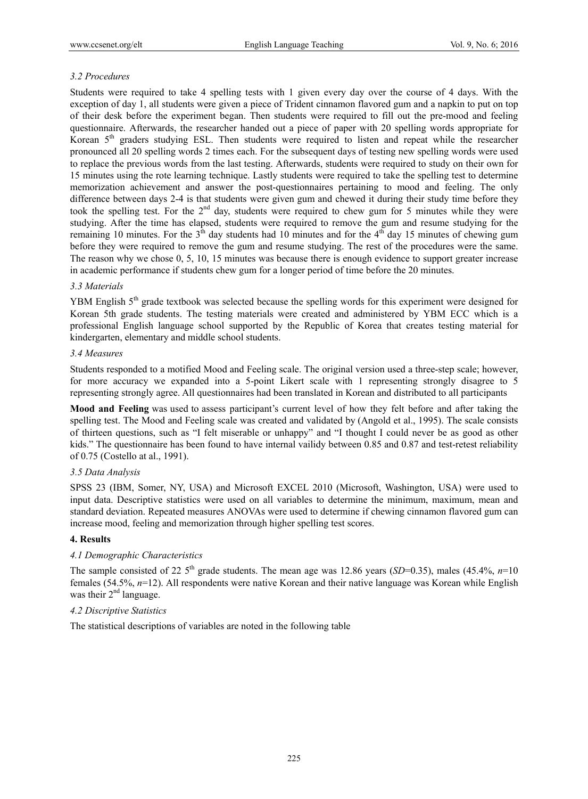## *3.2 Procedures*

Students were required to take 4 spelling tests with 1 given every day over the course of 4 days. With the exception of day 1, all students were given a piece of Trident cinnamon flavored gum and a napkin to put on top of their desk before the experiment began. Then students were required to fill out the pre-mood and feeling questionnaire. Afterwards, the researcher handed out a piece of paper with 20 spelling words appropriate for Korean 5th graders studying ESL. Then students were required to listen and repeat while the researcher pronounced all 20 spelling words 2 times each. For the subsequent days of testing new spelling words were used to replace the previous words from the last testing. Afterwards, students were required to study on their own for 15 minutes using the rote learning technique. Lastly students were required to take the spelling test to determine memorization achievement and answer the post-questionnaires pertaining to mood and feeling. The only difference between days 2-4 is that students were given gum and chewed it during their study time before they took the spelling test. For the 2<sup>nd</sup> day, students were required to chew gum for 5 minutes while they were studying. After the time has elapsed, students were required to remove the gum and resume studying for the remaining 10 minutes. For the  $3<sup>th</sup>$  day students had 10 minutes and for the  $4<sup>th</sup>$  day 15 minutes of chewing gum before they were required to remove the gum and resume studying. The rest of the procedures were the same. The reason why we chose 0, 5, 10, 15 minutes was because there is enough evidence to support greater increase in academic performance if students chew gum for a longer period of time before the 20 minutes.

### *3.3 Materials*

YBM English  $5<sup>th</sup>$  grade textbook was selected because the spelling words for this experiment were designed for Korean 5th grade students. The testing materials were created and administered by YBM ECC which is a professional English language school supported by the Republic of Korea that creates testing material for kindergarten, elementary and middle school students.

#### *3.4 Measures*

Students responded to a motified Mood and Feeling scale. The original version used a three-step scale; however, for more accuracy we expanded into a 5-point Likert scale with 1 representing strongly disagree to 5 representing strongly agree. All questionnaires had been translated in Korean and distributed to all participants

**Mood and Feeling** was used to assess participant's current level of how they felt before and after taking the spelling test. The Mood and Feeling scale was created and validated by (Angold et al., 1995). The scale consists of thirteen questions, such as "I felt miserable or unhappy" and "I thought I could never be as good as other kids." The questionnaire has been found to have internal vailidy between 0.85 and 0.87 and test-retest reliability of 0.75 (Costello at al., 1991).

## *3.5 Data Analysis*

SPSS 23 (IBM, Somer, NY, USA) and Microsoft EXCEL 2010 (Microsoft, Washington, USA) were used to input data. Descriptive statistics were used on all variables to determine the minimum, maximum, mean and standard deviation. Repeated measures ANOVAs were used to determine if chewing cinnamon flavored gum can increase mood, feeling and memorization through higher spelling test scores.

#### **4. Results**

# *4.1 Demographic Characteristics*

The sample consisted of 22  $5<sup>th</sup>$  grade students. The mean age was 12.86 years (*SD*=0.35), males (45.4%, *n*=10 females (54.5%, *n*=12). All respondents were native Korean and their native language was Korean while English was their  $2<sup>nd</sup>$  language.

# *4.2 Discriptive Statistics*

The statistical descriptions of variables are noted in the following table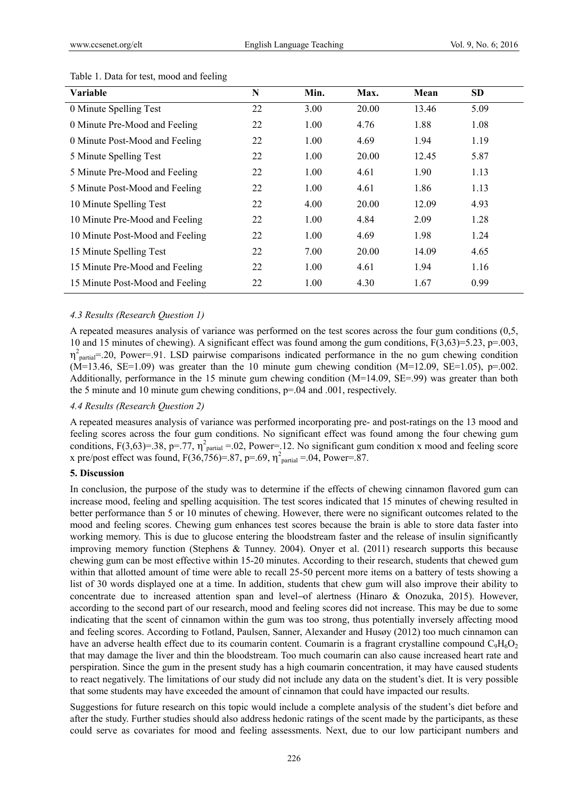| <b>Variable</b>                 | N  | Min. | Max.  | Mean  | SD.  |  |
|---------------------------------|----|------|-------|-------|------|--|
| 0 Minute Spelling Test          | 22 | 3.00 | 20.00 | 13.46 | 5.09 |  |
| 0 Minute Pre-Mood and Feeling   | 22 | 1.00 | 4.76  | 1.88  | 1.08 |  |
| 0 Minute Post-Mood and Feeling  | 22 | 1.00 | 4.69  | 1.94  | 1.19 |  |
| 5 Minute Spelling Test          | 22 | 1.00 | 20.00 | 12.45 | 5.87 |  |
| 5 Minute Pre-Mood and Feeling   | 22 | 1.00 | 4.61  | 1.90  | 1.13 |  |
| 5 Minute Post-Mood and Feeling  | 22 | 1.00 | 4.61  | 1.86  | 1.13 |  |
| 10 Minute Spelling Test         | 22 | 4.00 | 20.00 | 12.09 | 4.93 |  |
| 10 Minute Pre-Mood and Feeling  | 22 | 1.00 | 4.84  | 2.09  | 1.28 |  |
| 10 Minute Post-Mood and Feeling | 22 | 1.00 | 4.69  | 1.98  | 1.24 |  |
| 15 Minute Spelling Test         | 22 | 7.00 | 20.00 | 14.09 | 4.65 |  |
| 15 Minute Pre-Mood and Feeling  | 22 | 1.00 | 4.61  | 1.94  | 1.16 |  |
| 15 Minute Post-Mood and Feeling | 22 | 1.00 | 4.30  | 1.67  | 0.99 |  |

#### Table 1. Data for test, mood and feeling

#### *4.3 Results (Research Question 1)*

A repeated measures analysis of variance was performed on the test scores across the four gum conditions (0,5, 10 and 15 minutes of chewing). A significant effect was found among the gum conditions, F(3,63)=5.23, p=.003,  $\eta^2$ <sub>partial</sub>=.20, Power=.91. LSD pairwise comparisons indicated performance in the no gum chewing condition  $(M=13.46, SE=1.09)$  was greater than the 10 minute gum chewing condition  $(M=12.09, SE=1.05)$ , p=.002. Additionally, performance in the 15 minute gum chewing condition (M=14.09, SE=.99) was greater than both the 5 minute and 10 minute gum chewing conditions, p=.04 and .001, respectively.

#### *4.4 Results (Research Question 2)*

A repeated measures analysis of variance was performed incorporating pre- and post-ratings on the 13 mood and feeling scores across the four gum conditions. No significant effect was found among the four chewing gum conditions,  $F(3,63)=38$ , p=.77,  $\eta^2$ <sub>partial</sub> = 02, Power=.12. No significant gum condition x mood and feeling score x pre/post effect was found,  $F(36, 756) = .87$ ,  $p = .69$ ,  $\eta^2$ <sub>partial</sub> = 0.04, Power=.87.

#### **5. Discussion**

In conclusion, the purpose of the study was to determine if the effects of chewing cinnamon flavored gum can increase mood, feeling and spelling acquisition. The test scores indicated that 15 minutes of chewing resulted in better performance than 5 or 10 minutes of chewing. However, there were no significant outcomes related to the mood and feeling scores. Chewing gum enhances test scores because the brain is able to store data faster into working memory. This is due to glucose entering the bloodstream faster and the release of insulin significantly improving memory function (Stephens & Tunney. 2004). Onyer et al. (2011) research supports this because chewing gum can be most effective within 15-20 minutes. According to their research, students that chewed gum within that allotted amount of time were able to recall 25-50 percent more items on a battery of tests showing a list of 30 words displayed one at a time. In addition, students that chew gum will also improve their ability to concentrate due to increased attention span and level of alertness (Hinaro & Onozuka, 2015). However, according to the second part of our research, mood and feeling scores did not increase. This may be due to some indicating that the scent of cinnamon within the gum was too strong, thus potentially inversely affecting mood and feeling scores. According to Fotland, Paulsen, Sanner, Alexander and Husøy (2012) too much cinnamon can have an adverse health effect due to its coumarin content. Coumarin is a fragrant crystalline compound  $C_9H_6O_2$ that may damage the liver and thin the bloodstream. Too much coumarin can also cause increased heart rate and perspiration. Since the gum in the present study has a high coumarin concentration, it may have caused students to react negatively. The limitations of our study did not include any data on the student's diet. It is very possible that some students may have exceeded the amount of cinnamon that could have impacted our results.

Suggestions for future research on this topic would include a complete analysis of the student's diet before and after the study. Further studies should also address hedonic ratings of the scent made by the participants, as these could serve as covariates for mood and feeling assessments. Next, due to our low participant numbers and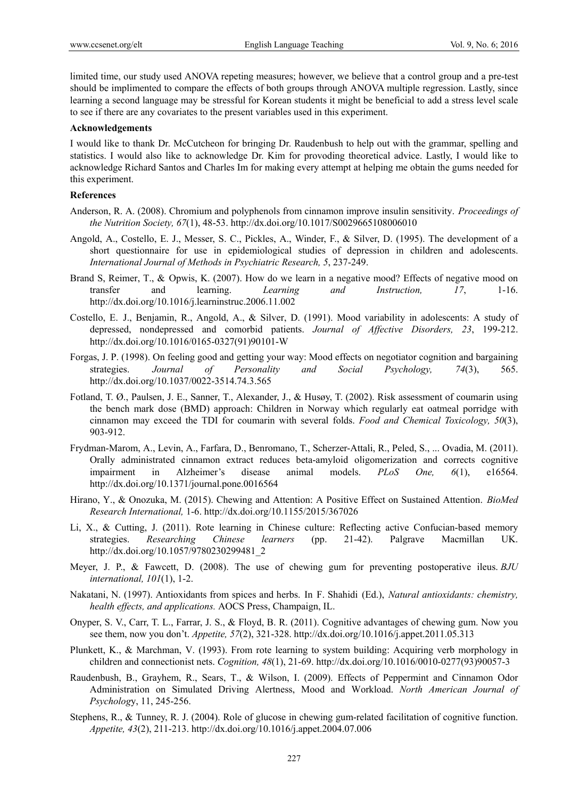limited time, our study used ANOVA repeting measures; however, we believe that a control group and a pre-test should be implimented to compare the effects of both groups through ANOVA multiple regression. Lastly, since learning a second language may be stressful for Korean students it might be beneficial to add a stress level scale to see if there are any covariates to the present variables used in this experiment.

#### **Acknowledgements**

I would like to thank Dr. McCutcheon for bringing Dr. Raudenbush to help out with the grammar, spelling and statistics. I would also like to acknowledge Dr. Kim for provoding theoretical advice. Lastly, I would like to acknowledge Richard Santos and Charles Im for making every attempt at helping me obtain the gums needed for this experiment.

#### **References**

- Anderson, R. A. (2008). Chromium and polyphenols from cinnamon improve insulin sensitivity. *Proceedings of the Nutrition Society, 67*(1), 48-53. http://dx.doi.org/10.1017/S0029665108006010
- Angold, A., Costello, E. J., Messer, S. C., Pickles, A., Winder, F., & Silver, D. (1995). The development of a short questionnaire for use in epidemiological studies of depression in children and adolescents. *International Journal of Methods in Psychiatric Research, 5*, 237-249.
- Brand S, Reimer, T., & Opwis, K. (2007). How do we learn in a negative mood? Effects of negative mood on transfer and learning. *Learning and Instruction, 17*, 1-16. http://dx.doi.org/10.1016/j.learninstruc.2006.11.002
- Costello, E. J., Benjamin, R., Angold, A., & Silver, D. (1991). Mood variability in adolescents: A study of depressed, nondepressed and comorbid patients. *Journal of Affective Disorders, 23*, 199-212. http://dx.doi.org/10.1016/0165-0327(91)90101-W
- Forgas, J. P. (1998). On feeling good and getting your way: Mood effects on negotiator cognition and bargaining strategies. *Journal of Personality and Social Psychology, 74*(3), 565. http://dx.doi.org/10.1037/0022-3514.74.3.565
- Fotland, T. Ø., Paulsen, J. E., Sanner, T., Alexander, J., & Husøy, T. (2002). Risk assessment of coumarin using the bench mark dose (BMD) approach: Children in Norway which regularly eat oatmeal porridge with cinnamon may exceed the TDI for coumarin with several folds. *Food and Chemical Toxicology, 50*(3), 903-912.
- Frydman-Marom, A., Levin, A., Farfara, D., Benromano, T., Scherzer-Attali, R., Peled, S., ... Ovadia, M. (2011). Orally administrated cinnamon extract reduces beta-amyloid oligomerization and corrects cognitive impairment in Alzheimer's disease animal models. *PLoS One, 6*(1), e16564. http://dx.doi.org/10.1371/journal.pone.0016564
- Hirano, Y., & Onozuka, M. (2015). Chewing and Attention: A Positive Effect on Sustained Attention. *BioMed Research International,* 1-6. http://dx.doi.org/10.1155/2015/367026
- Li, X., & Cutting, J. (2011). Rote learning in Chinese culture: Reflecting active Confucian-based memory strategies. *Researching Chinese learners* (pp. 21-42). Palgrave Macmillan UK. http://dx.doi.org/10.1057/9780230299481\_2
- Meyer, J. P., & Fawcett, D. (2008). The use of chewing gum for preventing postoperative ileus. *BJU international, 101*(1), 1-2.
- Nakatani, N. (1997). Antioxidants from spices and herbs. In F. Shahidi (Ed.), *Natural antioxidants: chemistry, health effects, and applications.* AOCS Press, Champaign, IL.
- Onyper, S. V., Carr, T. L., Farrar, J. S., & Floyd, B. R. (2011). Cognitive advantages of chewing gum. Now you see them, now you don't. *Appetite, 57*(2), 321-328. http://dx.doi.org/10.1016/j.appet.2011.05.313
- Plunkett, K., & Marchman, V. (1993). From rote learning to system building: Acquiring verb morphology in children and connectionist nets. *Cognition, 48*(1), 21-69. http://dx.doi.org/10.1016/0010-0277(93)90057-3
- Raudenbush, B., Grayhem, R., Sears, T., & Wilson, I. (2009). Effects of Peppermint and Cinnamon Odor Administration on Simulated Driving Alertness, Mood and Workload. *North American Journal of Psycholog*y, 11, 245-256.
- Stephens, R., & Tunney, R. J. (2004). Role of glucose in chewing gum-related facilitation of cognitive function. *Appetite, 43*(2), 211-213. http://dx.doi.org/10.1016/j.appet.2004.07.006